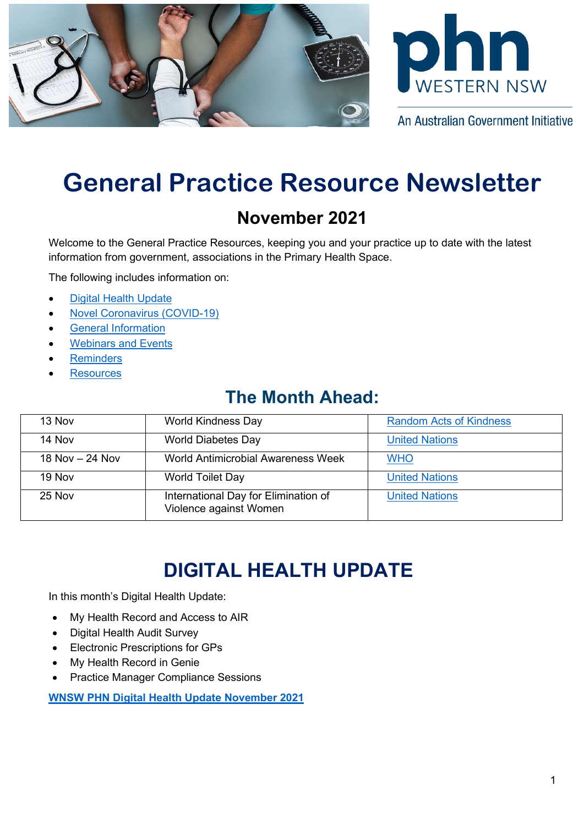



An Australian Government Initiative

# **General Practice Resource Newsletter**

### **November 2021**

Welcome to the General Practice Resources, keeping you and your practice up to date with the latest information from government, associations in the Primary Health Space.

The following includes information on:

- [Digital Health Update](#page-0-0)
- [Novel Coronavirus \(COVID-19\)](#page-0-1)
- [General Information](#page-2-0)
- **[Webinars](#page-4-0) and Events**
- **[Reminders](#page-6-0)**
- **[Resources](#page-6-1)**

### **The Month Ahead:**

| 13 Nov            | <b>World Kindness Day</b>                                      | <b>Random Acts of Kindness</b> |
|-------------------|----------------------------------------------------------------|--------------------------------|
| 14 Nov            | <b>World Diabetes Day</b>                                      | <b>United Nations</b>          |
| 18 Nov $-$ 24 Nov | <b>World Antimicrobial Awareness Week</b>                      | <b>WHO</b>                     |
| 19 Nov            | <b>World Toilet Day</b>                                        | <b>United Nations</b>          |
| 25 Nov            | International Day for Elimination of<br>Violence against Women | <b>United Nations</b>          |

## **DIGITAL HEALTH UPDATE**

<span id="page-0-1"></span><span id="page-0-0"></span>In this month's Digital Health Update:

- My Health Record and Access to AIR
- Digital Health Audit Survey
- Electronic Prescriptions for GPs
- My Health Record in Genie
- Practice Manager Compliance Sessions

**[WNSW PHN Digital Health Update November 2021](https://www.wnswphn.org.au/uploads/documents/newsletters/GP%20Resources%20November%202021/Digital%20Health%20Update_November2021.pdf)**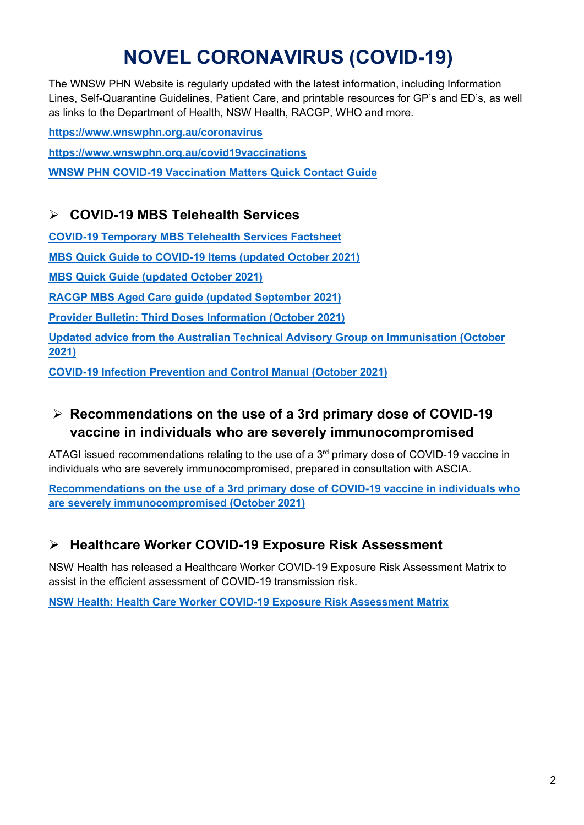## **NOVEL CORONAVIRUS (COVID-19)**

The WNSW PHN Website is regularly updated with the latest information, including Information Lines, Self-Quarantine Guidelines, Patient Care, and printable resources for GP's and ED's, as well as links to the Department of Health, NSW Health, RACGP, WHO and more.

**<https://www.wnswphn.org.au/coronavirus> <https://www.wnswphn.org.au/covid19vaccinations> [WNSW PHN COVID-19 Vaccination Matters Quick Contact Guide](https://www.wnswphn.org.au/uploads/documents/newsletters/GP%20Resources%20July%202021/WNSW%20PHN%20COVID-19%20Primary%20Care%20Vaccination%20Contacts.pdf)**

#### **COVID-19 MBS Telehealth Services**

**[COVID-19 Temporary MBS Telehealth Services Factsheet](https://www.wnswphn.org.au/uploads/documents/newsletters/GP%20Resources%20October%202021/Factsheet-COVID-19-GPsOMP-30.07.21.pdf)**

**MBS Quick Guide [to COVID-19 Items](https://www.wnswphn.org.au/uploads/documents/newsletters/GP%20Resources%20November%202021/MBS%20card_OCT21_COVID-19.pdf) (updated October 2021)**

**[MBS Quick Guide \(updated October](https://www.wnswphn.org.au/uploads/documents/newsletters/GP%20Resources%20November%202021/MBS%20card_OCT21.pdf) 2021)**

**[RACGP MBS Aged Care guide \(updated September 2021\)](https://www.wnswphn.org.au/uploads/documents/newsletters/GP%20Resources%20October%202021/RACGP%20MBS%20Aged%20Care%20guide%20-%202021-09-21.pdf)**

**[Provider Bulletin: Third Doses Information \(October 2021\)](https://www.wnswphn.org.au/uploads/documents/newsletters/GP%20Resources%20November%202021/Provider%20Bulletin%20-%20Third%20Doses%20-%208%20October%202021.pdf)**

**[Updated advice from the Australian Technical Advisory Group on Immunisation](https://www.wnswphn.org.au/uploads/documents/newsletters/GP%20Resources%20November%202021/CMO%20letter%20to%20providers-%20Immunocompromised%20-%208%20October%20-%20final.pdf) (October [2021\)](https://www.wnswphn.org.au/uploads/documents/newsletters/GP%20Resources%20November%202021/CMO%20letter%20to%20providers-%20Immunocompromised%20-%208%20October%20-%20final.pdf)**

**[COVID-19 Infection Prevention and Control Manual \(October 2021\)](https://www.cec.health.nsw.gov.au/keep-patients-safe/COVID-19/COVID-19-IPAC-manual)**

#### **Recommendations on the use of a 3rd primary dose of COVID-19 vaccine in individuals who are severely immunocompromised**

ATAGI issued recommendations relating to the use of a 3<sup>rd</sup> primary dose of COVID-19 vaccine in individuals who are severely immunocompromised, prepared in consultation with ASCIA.

**[Recommendations on the use of a 3rd primary dose of](https://www.wnswphn.org.au/uploads/documents/newsletters/GP%20Resources%20November%202021/ATAGI%20recommendations%203rd%20dose%20severely%20immunocompromised.pdf) COVID-19 vaccine in individuals who are severely [immunocompromised](https://www.wnswphn.org.au/uploads/documents/newsletters/GP%20Resources%20November%202021/ATAGI%20recommendations%203rd%20dose%20severely%20immunocompromised.pdf) (October 2021)**

#### **Healthcare Worker COVID-19 Exposure Risk Assessment**

NSW Health has released a Healthcare Worker COVID-19 Exposure Risk Assessment Matrix to assist in the efficient assessment of COVID-19 transmission risk.

**NSW Health: [Health Care Worker COVID-19 Exposure Risk Assessment Matrix](https://www.wnswphn.org.au/uploads/documents/newsletters/GP%20Resources%20October%202021/risk-matrix-hcw-exposure.pdf)**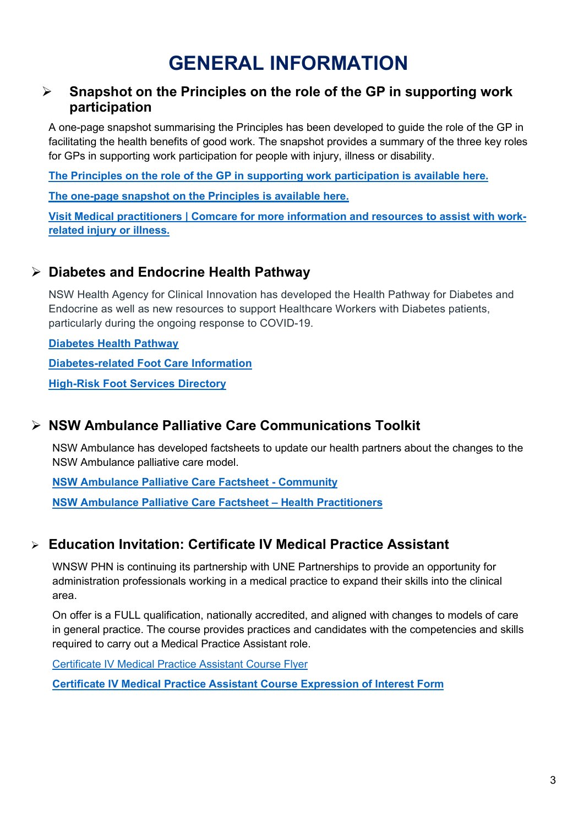## **GENERAL INFORMATION**

#### <span id="page-2-0"></span> **Snapshot on the Principles on the role of the GP in supporting work participation**

A one-page snapshot summarising the Principles has been developed to guide the role of the GP in facilitating the health benefits of good work. The snapshot provides a summary of the three key roles for GPs in supporting work participation for people with injury, illness or disability.

**[The Principles on the role of the GP in supporting work participation is available here.](https://www.comcare.gov.au/__data/assets/pdf_file/0005/277763/principles-on-role-of-gps-in-work-participation.pdf)**

**[The one-page snapshot on the Principles is available here.](https://www.comcare.gov.au/__data/assets/pdf_file/0010/312013/snapshot-gp-principles.pdf)**

**[Visit Medical practitioners | Comcare for more information and resources to assist with work](https://www.comcare.gov.au/service-providers/medical-allied-health/medical-practitioners)[related injury or illness.](https://www.comcare.gov.au/service-providers/medical-allied-health/medical-practitioners)**

#### **Diabetes and Endocrine Health Pathway**

NSW Health Agency for Clinical Innovation has developed the Health Pathway for Diabetes and Endocrine as well as new resources to support Healthcare Workers with Diabetes patients, particularly during the ongoing response to COVID-19.

**[Diabetes Health Pathway](https://sydney.communityhealthpathways.org/25013.htm)**

**[Diabetes-related Foot Care Information](https://aci.health.nsw.gov.au/__data/assets/pdf_file/0005/665888/ACI-COVID-19-diabetes-related-foot-care-pathway-guiding-document.pdf)**

**[High-Risk Foot Services Directory](https://aci.health.nsw.gov.au/__data/assets/pdf_file/0009/669150/High-Risk-Foot-Service-Service-Directory.pdf)**

#### **NSW Ambulance Palliative Care Communications Toolkit**

NSW Ambulance has developed factsheets to update our health partners about the changes to the NSW Ambulance palliative care model.

**[NSW Ambulance Palliative Care Factsheet -](https://www.wnswphn.org.au/uploads/documents/newsletters/GP%20Resources%20November%202021/Palliative%20Care%20Factsheet_Community.pdf) Community**

**[NSW Ambulance Palliative Care Factsheet –](https://www.wnswphn.org.au/uploads/documents/newsletters/GP%20Resources%20November%202021/Palliative%20Care%20Factsheet_Health%20Practitioners.pdf) Health Practitioners**

#### **Education Invitation: Certificate IV Medical Practice Assistant**

WNSW PHN is continuing its partnership with UNE Partnerships to provide an opportunity for administration professionals working in a medical practice to expand their skills into the clinical area.

On offer is a FULL qualification, nationally accredited, and aligned with changes to models of care in general practice. The course provides practices and candidates with the competencies and skills required to carry out a Medical Practice Assistant role.

[Certificate IV Medical Practice Assistant Course Flyer](https://www.wnswphn.org.au/uploads/documents/newsletters/GP%20Resources%20November%202021/MPA%20Overview%20Flyer.pdf)

**[Certificate IV Medical Practice Assistant Course Expression of Interest](https://www.wnswphn.org.au/uploads/documents/newsletters/GP%20Resources%20November%202021/EOI%20-%20MPA%20Scholarship%202021.docx) Form**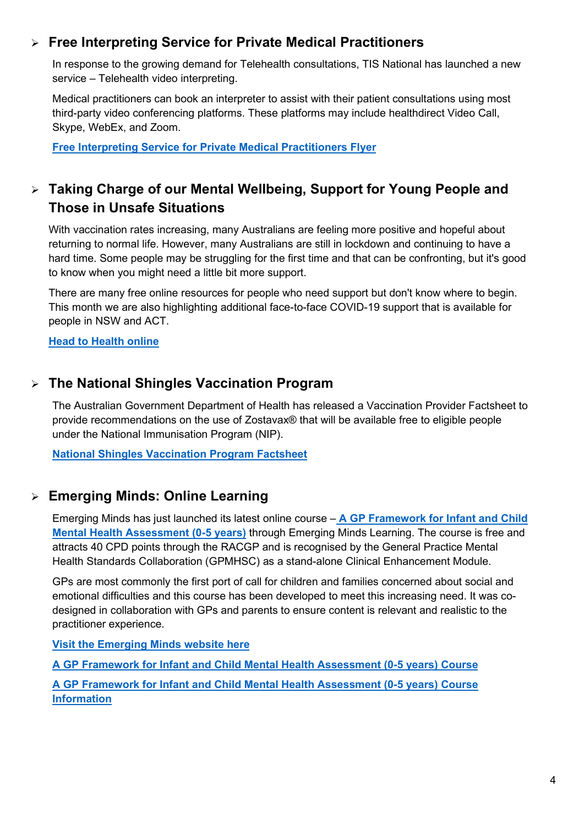#### **Free Interpreting Service for Private Medical Practitioners**

In response to the growing demand for Telehealth consultations, TIS National has launched a new service – Telehealth video interpreting.

Medical practitioners can book an interpreter to assist with their patient consultations using most third-party video conferencing platforms. These platforms may include healthdirect Video Call, Skype, WebEx, and Zoom.

**[Free Interpreting Service for Private Medical Practitioners](https://www.wnswphn.org.au/uploads/documents/newsletters/GP%20Resources%20November%202021/Free%20Interpreting%20Service%20-%20Medical%20Practitioner.DOCX) Flyer**

#### **Taking Charge of our Mental Wellbeing, Support for Young People and Those in Unsafe Situations**

With vaccination rates increasing, many Australians are feeling more positive and hopeful about returning to normal life. However, many Australians are still in lockdown and continuing to have a hard time. Some people may be struggling for the first time and that can be confronting, but it's good to know when you might need a little bit more support.

There are many free online resources for people who need support but don't know where to begin. This month we are also highlighting additional face-to-face COVID-19 support that is available for people in NSW and ACT.

**[Head to Health online](https://www.wnswphn.org.au/headtohealth)**

#### **The National Shingles Vaccination Program**

The Australian Government Department of Health has released a Vaccination Provider Factsheet to provide recommendations on the use of Zostavax® that will be available free to eligible people under the National Immunisation Program (NIP).

**[National Shingles Vaccination Program Factsheet](https://www.wnswphn.org.au/uploads/documents/newsletters/GP%20Resources%20November%202021/National+Shingles+Vaccination+Program-+Provider+Factsheet.pdf)**

#### **Emerging Minds: Online Learning**

Emerging Minds has just launched its latest online course – **[A GP Framework for Infant and Child](https://bit.ly/3FjRFAc)  [Mental Health Assessment \(0-5 years\)](https://bit.ly/3FjRFAc)** through Emerging Minds Learning. The course is free and attracts 40 CPD points through the RACGP and is recognised by the General Practice Mental Health Standards Collaboration (GPMHSC) as a stand-alone Clinical Enhancement Module.

GPs are most commonly the first port of call for children and families concerned about social and emotional difficulties and this course has been developed to meet this increasing need. It was codesigned in collaboration with GPs and parents to ensure content is relevant and realistic to the practitioner experience.

**[Visit the Emerging Minds website here](https://emergingminds.com.au/resources/in-focus-how-can-general-practitioners-support-childrens-mental-health/)**

**[A GP Framework for Infant and Child Mental Health Assessment \(0-5 years\)](https://bit.ly/3FjRFAc) Course**

**[A GP Framework for Infant and Child Mental Health Assessment \(0-5 years\)](https://emergingminds.com.au/online-course/mhst-0-5-years/) Course [Information](https://emergingminds.com.au/online-course/mhst-0-5-years/)**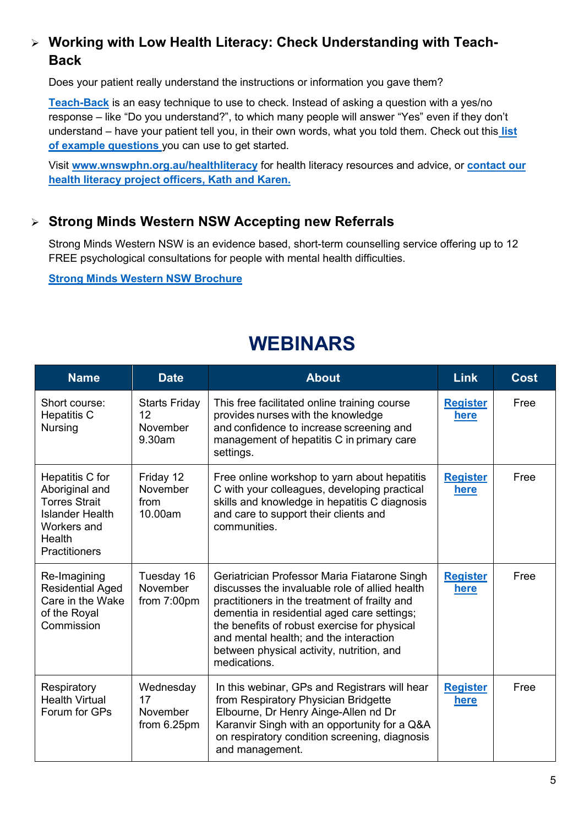#### **Working with Low Health Literacy: Check Understanding with Teach-Back**

Does your patient really understand the instructions or information you gave them?

**[Teach-Back](http://teachback.org/)** is an easy technique to use to check. Instead of asking a question with a yes/no response – like "Do you understand?", to which many people will answer "Yes" even if they don't understand – have your patient tell you, in their own words, what you told them. Check out this **[list](http://teachback.org/wp-content/uploads/2018/11/Example-phrases-for-explaining-back.pdf)  [of example questions](http://teachback.org/wp-content/uploads/2018/11/Example-phrases-for-explaining-back.pdf)** you can use to get started.

Visit **[www.wnswphn.org.au/healthliteracy](http://www.wnswphn.org.au/healthliteracy)** for health literacy resources and advice, or **[contact our](mailto:healthliteracy@wnswphn.org.au)  [health literacy project officers, Kath and Karen.](mailto:healthliteracy@wnswphn.org.au)**

#### **Strong Minds Western NSW Accepting new Referrals**

Strong Minds Western NSW is an evidence based, short-term counselling service offering up to 12 FREE psychological consultations for people with mental health difficulties.

**[Strong Minds Western NSW Brochure](https://www.wnswphn.org.au/uploads/documents/newsletters/GP%20Resources%20November%202021/SM%20%20new%20brochure.pdf)**

### **WEBINARS**

<span id="page-4-0"></span>

| <b>Name</b>                                                                                                                          | <b>Date</b>                                      | <b>About</b>                                                                                                                                                                                                                                                                                                                                          | <b>Link</b>             | <b>Cost</b> |
|--------------------------------------------------------------------------------------------------------------------------------------|--------------------------------------------------|-------------------------------------------------------------------------------------------------------------------------------------------------------------------------------------------------------------------------------------------------------------------------------------------------------------------------------------------------------|-------------------------|-------------|
| Short course:<br><b>Hepatitis C</b><br><b>Nursing</b>                                                                                | <b>Starts Friday</b><br>12<br>November<br>9.30am | This free facilitated online training course<br>provides nurses with the knowledge<br>and confidence to increase screening and<br>management of hepatitis C in primary care<br>settings.                                                                                                                                                              | <b>Register</b><br>here | Free        |
| Hepatitis C for<br>Aboriginal and<br><b>Torres Strait</b><br><b>Islander Health</b><br>Workers and<br>Health<br><b>Practitioners</b> | Friday 12<br>November<br>from<br>10.00am         | Free online workshop to yarn about hepatitis<br>C with your colleagues, developing practical<br>skills and knowledge in hepatitis C diagnosis<br>and care to support their clients and<br>communities.                                                                                                                                                | <b>Register</b><br>here | Free        |
| Re-Imagining<br><b>Residential Aged</b><br>Care in the Wake<br>of the Royal<br>Commission                                            | Tuesday 16<br>November<br>from 7:00pm            | Geriatrician Professor Maria Fiatarone Singh<br>discusses the invaluable role of allied health<br>practitioners in the treatment of frailty and<br>dementia in residential aged care settings;<br>the benefits of robust exercise for physical<br>and mental health; and the interaction<br>between physical activity, nutrition, and<br>medications. | <b>Register</b><br>here | Free        |
| Respiratory<br><b>Health Virtual</b><br>Forum for GPs                                                                                | Wednesday<br>17<br>November<br>from 6.25pm       | In this webinar, GPs and Registrars will hear<br>from Respiratory Physician Bridgette<br>Elbourne, Dr Henry Ainge-Allen nd Dr<br>Karanvir Singh with an opportunity for a Q&A<br>on respiratory condition screening, diagnosis<br>and management.                                                                                                     | <b>Register</b><br>here | Free        |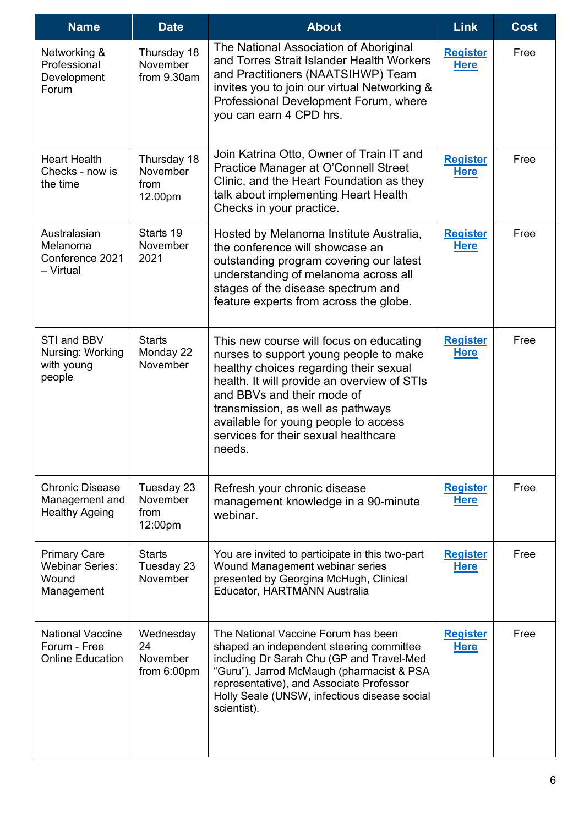| <b>Name</b>                                                          | <b>Date</b>                                | <b>About</b>                                                                                                                                                                                                                                                                                                                            | <b>Link</b>                    | <b>Cost</b> |
|----------------------------------------------------------------------|--------------------------------------------|-----------------------------------------------------------------------------------------------------------------------------------------------------------------------------------------------------------------------------------------------------------------------------------------------------------------------------------------|--------------------------------|-------------|
| Networking &<br>Professional<br>Development<br>Forum                 | Thursday 18<br>November<br>from 9.30am     | The National Association of Aboriginal<br>and Torres Strait Islander Health Workers<br>and Practitioners (NAATSIHWP) Team<br>invites you to join our virtual Networking &<br>Professional Development Forum, where<br>you can earn 4 CPD hrs.                                                                                           | <b>Register</b><br><b>Here</b> | Free        |
| <b>Heart Health</b><br>Checks - now is<br>the time                   | Thursday 18<br>November<br>from<br>12.00pm | Join Katrina Otto, Owner of Train IT and<br>Practice Manager at O'Connell Street<br>Clinic, and the Heart Foundation as they<br>talk about implementing Heart Health<br>Checks in your practice.                                                                                                                                        | <b>Register</b><br><u>Here</u> | Free        |
| Australasian<br>Melanoma<br>Conference 2021<br>- Virtual             | Starts 19<br>November<br>2021              | Hosted by Melanoma Institute Australia,<br>the conference will showcase an<br>outstanding program covering our latest<br>understanding of melanoma across all<br>stages of the disease spectrum and<br>feature experts from across the globe.                                                                                           | <b>Register</b><br><b>Here</b> | Free        |
| STI and BBV<br>Nursing: Working<br>with young<br>people              | <b>Starts</b><br>Monday 22<br>November     | This new course will focus on educating<br>nurses to support young people to make<br>healthy choices regarding their sexual<br>health. It will provide an overview of STIs<br>and BBVs and their mode of<br>transmission, as well as pathways<br>available for young people to access<br>services for their sexual healthcare<br>needs. | <b>Register</b><br><b>Here</b> | Free        |
| <b>Chronic Disease</b><br>Management and<br><b>Healthy Ageing</b>    | Tuesday 23<br>November<br>from<br>12:00pm  | Refresh your chronic disease<br>management knowledge in a 90-minute<br>webinar.                                                                                                                                                                                                                                                         | <b>Register</b><br><b>Here</b> | Free        |
| <b>Primary Care</b><br><b>Webinar Series:</b><br>Wound<br>Management | <b>Starts</b><br>Tuesday 23<br>November    | You are invited to participate in this two-part<br>Wound Management webinar series<br>presented by Georgina McHugh, Clinical<br>Educator, HARTMANN Australia                                                                                                                                                                            | <b>Register</b><br><b>Here</b> | Free        |
| <b>National Vaccine</b><br>Forum - Free<br><b>Online Education</b>   | Wednesday<br>24<br>November<br>from 6:00pm | The National Vaccine Forum has been<br>shaped an independent steering committee<br>including Dr Sarah Chu (GP and Travel-Med<br>"Guru"), Jarrod McMaugh (pharmacist & PSA<br>representative), and Associate Professor<br>Holly Seale (UNSW, infectious disease social<br>scientist).                                                    | <b>Register</b><br><b>Here</b> | Free        |